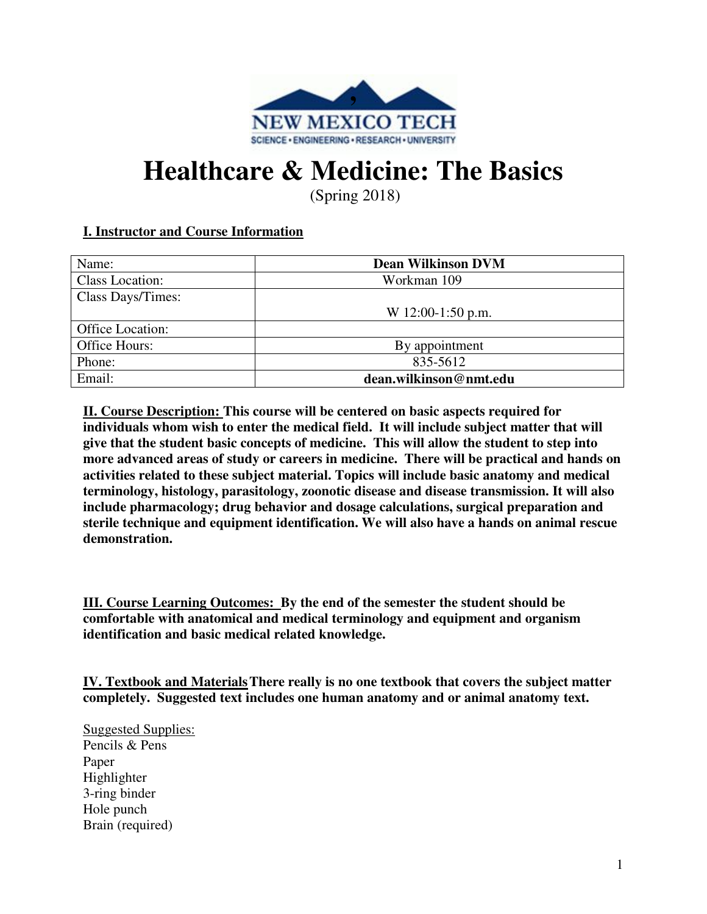

## **Healthcare & Medicine: The Basics**

(Spring 2018)

### **I. Instructor and Course Information**

| Name:                  | <b>Dean Wilkinson DVM</b> |  |
|------------------------|---------------------------|--|
| <b>Class Location:</b> | Workman 109               |  |
| Class Days/Times:      |                           |  |
|                        | W 12:00-1:50 p.m.         |  |
| Office Location:       |                           |  |
| Office Hours:          | By appointment            |  |
| Phone:                 | 835-5612                  |  |
| Email:                 | dean.wilkinson@nmt.edu    |  |

**II. Course Description: This course will be centered on basic aspects required for individuals whom wish to enter the medical field. It will include subject matter that will give that the student basic concepts of medicine. This will allow the student to step into more advanced areas of study or careers in medicine. There will be practical and hands on activities related to these subject material. Topics will include basic anatomy and medical terminology, histology, parasitology, zoonotic disease and disease transmission. It will also include pharmacology; drug behavior and dosage calculations, surgical preparation and sterile technique and equipment identification. We will also have a hands on animal rescue demonstration.** 

**III. Course Learning Outcomes: By the end of the semester the student should be comfortable with anatomical and medical terminology and equipment and organism identification and basic medical related knowledge.**

**IV. Textbook and Materials There really is no one textbook that covers the subject matter completely. Suggested text includes one human anatomy and or animal anatomy text.** 

Suggested Supplies: Pencils & Pens Paper Highlighter 3-ring binder Hole punch Brain (required)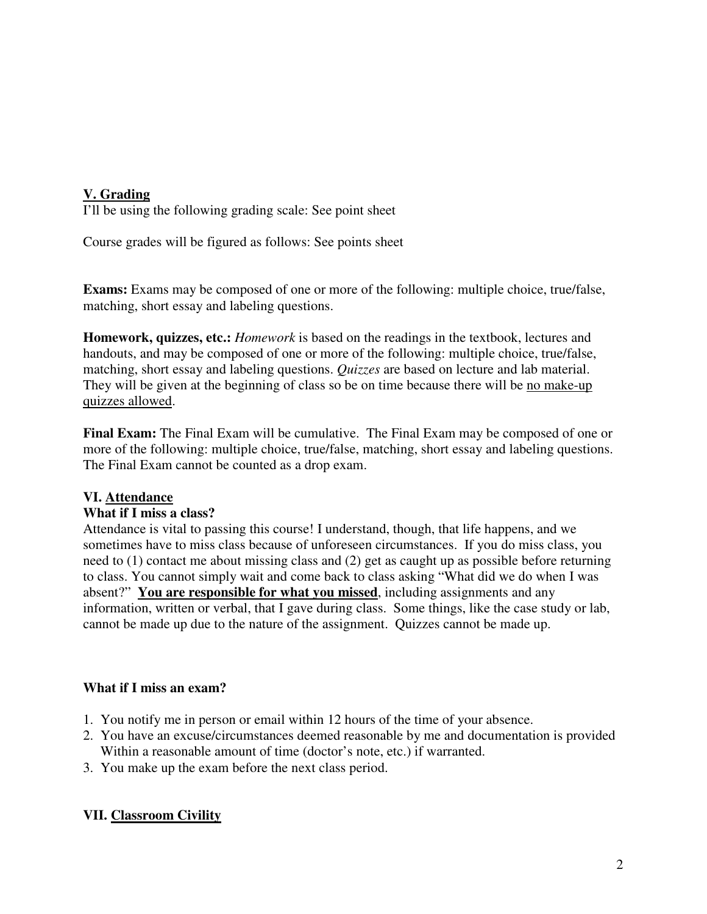#### **V. Grading**

I'll be using the following grading scale: See point sheet

Course grades will be figured as follows: See points sheet

**Exams:** Exams may be composed of one or more of the following: multiple choice, true/false, matching, short essay and labeling questions.

**Homework, quizzes, etc.:** *Homework* is based on the readings in the textbook, lectures and handouts, and may be composed of one or more of the following: multiple choice, true/false, matching, short essay and labeling questions. *Quizzes* are based on lecture and lab material. They will be given at the beginning of class so be on time because there will be no make-up quizzes allowed.

**Final Exam:** The Final Exam will be cumulative. The Final Exam may be composed of one or more of the following: multiple choice, true/false, matching, short essay and labeling questions. The Final Exam cannot be counted as a drop exam.

#### **VI. Attendance**

#### **What if I miss a class?**

Attendance is vital to passing this course! I understand, though, that life happens, and we sometimes have to miss class because of unforeseen circumstances. If you do miss class, you need to (1) contact me about missing class and (2) get as caught up as possible before returning to class. You cannot simply wait and come back to class asking "What did we do when I was absent?" **You are responsible for what you missed**, including assignments and any information, written or verbal, that I gave during class. Some things, like the case study or lab, cannot be made up due to the nature of the assignment. Quizzes cannot be made up.

#### **What if I miss an exam?**

- 1. You notify me in person or email within 12 hours of the time of your absence.
- 2. You have an excuse/circumstances deemed reasonable by me and documentation is provided Within a reasonable amount of time (doctor's note, etc.) if warranted.
- 3. You make up the exam before the next class period.

#### **VII. Classroom Civility**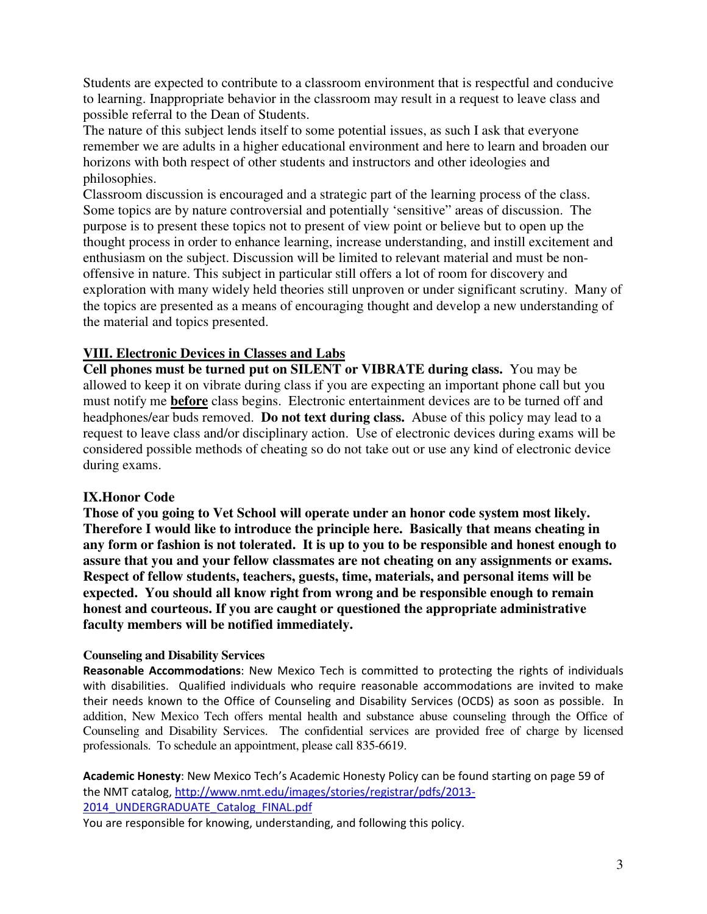Students are expected to contribute to a classroom environment that is respectful and conducive to learning. Inappropriate behavior in the classroom may result in a request to leave class and possible referral to the Dean of Students.

The nature of this subject lends itself to some potential issues, as such I ask that everyone remember we are adults in a higher educational environment and here to learn and broaden our horizons with both respect of other students and instructors and other ideologies and philosophies.

Classroom discussion is encouraged and a strategic part of the learning process of the class. Some topics are by nature controversial and potentially 'sensitive" areas of discussion. The purpose is to present these topics not to present of view point or believe but to open up the thought process in order to enhance learning, increase understanding, and instill excitement and enthusiasm on the subject. Discussion will be limited to relevant material and must be nonoffensive in nature. This subject in particular still offers a lot of room for discovery and exploration with many widely held theories still unproven or under significant scrutiny. Many of the topics are presented as a means of encouraging thought and develop a new understanding of the material and topics presented.

#### **VIII. Electronic Devices in Classes and Labs**

**Cell phones must be turned put on SILENT or VIBRATE during class.** You may be allowed to keep it on vibrate during class if you are expecting an important phone call but you must notify me **before** class begins. Electronic entertainment devices are to be turned off and headphones/ear buds removed. **Do not text during class.** Abuse of this policy may lead to a request to leave class and/or disciplinary action. Use of electronic devices during exams will be considered possible methods of cheating so do not take out or use any kind of electronic device during exams.

#### **IX.Honor Code**

**Those of you going to Vet School will operate under an honor code system most likely. Therefore I would like to introduce the principle here. Basically that means cheating in any form or fashion is not tolerated. It is up to you to be responsible and honest enough to assure that you and your fellow classmates are not cheating on any assignments or exams. Respect of fellow students, teachers, guests, time, materials, and personal items will be expected. You should all know right from wrong and be responsible enough to remain honest and courteous. If you are caught or questioned the appropriate administrative faculty members will be notified immediately.** 

#### **Counseling and Disability Services**

**Reasonable Accommodations**: New Mexico Tech is committed to protecting the rights of individuals with disabilities. Qualified individuals who require reasonable accommodations are invited to make their needs known to the Office of Counseling and Disability Services (OCDS) as soon as possible. In addition, New Mexico Tech offers mental health and substance abuse counseling through the Office of Counseling and Disability Services. The confidential services are provided free of charge by licensed professionals. To schedule an appointment, please call 835-6619.

**Academic Honesty**: New Mexico Tech's Academic Honesty Policy can be found starting on page 59 of the NMT catalog, http://www.nmt.edu/images/stories/registrar/pdfs/2013- 2014\_UNDERGRADUATE\_Catalog\_FINAL.pdf

You are responsible for knowing, understanding, and following this policy.